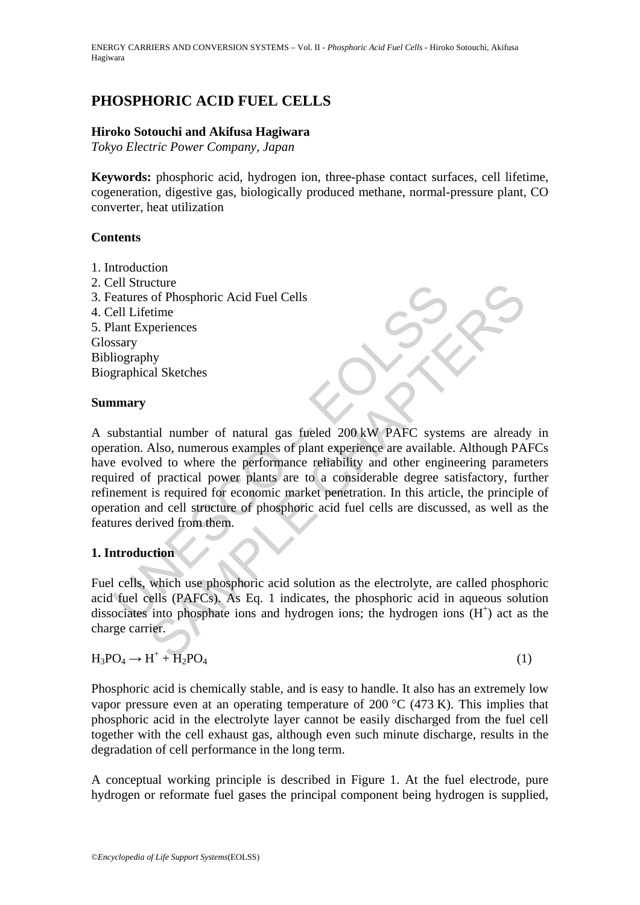# **PHOSPHORIC ACID FUEL CELLS**

### **Hiroko Sotouchi and Akifusa Hagiwara**

*Tokyo Electric Power Company, Japan* 

**Keywords:** phosphoric acid, hydrogen ion, three-phase contact surfaces, cell lifetime, cogeneration, digestive gas, biologically produced methane, normal-pressure plant, CO converter, heat utilization

### **Contents**

- 1. Introduction
- 2. Cell Structure
- 3. Features of Phosphoric Acid Fuel Cells
- 4. Cell Lifetime
- 5. Plant Experiences Glossary Bibliography Biographical Sketches

### **Summary**

entatives of Phosphoric Acid Fuel Cells<br>
ell Lifetime<br>
ell Lifetime<br>
lant Experiences<br>
ssary<br>
liography<br>
ubstantial number of natural gas fueled 200 kW PAFC syste<br>
and the second to where the performance reliability and ot Exerieve<br>
of Phosphoric Acid Fuel Cells<br>
periences<br>
periences<br>
hy<br>
al Sketches<br>
hy<br>
al Sketches<br>
hy<br>
al Sketches<br>
hy<br>
al Sketches<br>
the performance reliability and other engineering parameter<br>
d to where the performance rel A substantial number of natural gas fueled 200 kW PAFC systems are already in operation. Also, numerous examples of plant experience are available. Although PAFCs have evolved to where the performance reliability and other engineering parameters required of practical power plants are to a considerable degree satisfactory, further refinement is required for economic market penetration. In this article, the principle of operation and cell structure of phosphoric acid fuel cells are discussed, as well as the features derived from them.

## **1. Introduction**

Fuel cells, which use phosphoric acid solution as the electrolyte, are called phosphoric acid fuel cells (PAFCs). As Eq. 1 indicates, the phosphoric acid in aqueous solution dissociates into phosphate ions and hydrogen ions; the hydrogen ions  $(H<sup>+</sup>)$  act as the charge carrier.

# $H_3PO_4 \to H^+ + H_2PO_4$  (1)

Phosphoric acid is chemically stable, and is easy to handle. It also has an extremely low vapor pressure even at an operating temperature of 200  $^{\circ}$ C (473 K). This implies that phosphoric acid in the electrolyte layer cannot be easily discharged from the fuel cell together with the cell exhaust gas, although even such minute discharge, results in the degradation of cell performance in the long term.

A conceptual working principle is described in Figure 1. At the fuel electrode, pure hydrogen or reformate fuel gases the principal component being hydrogen is supplied,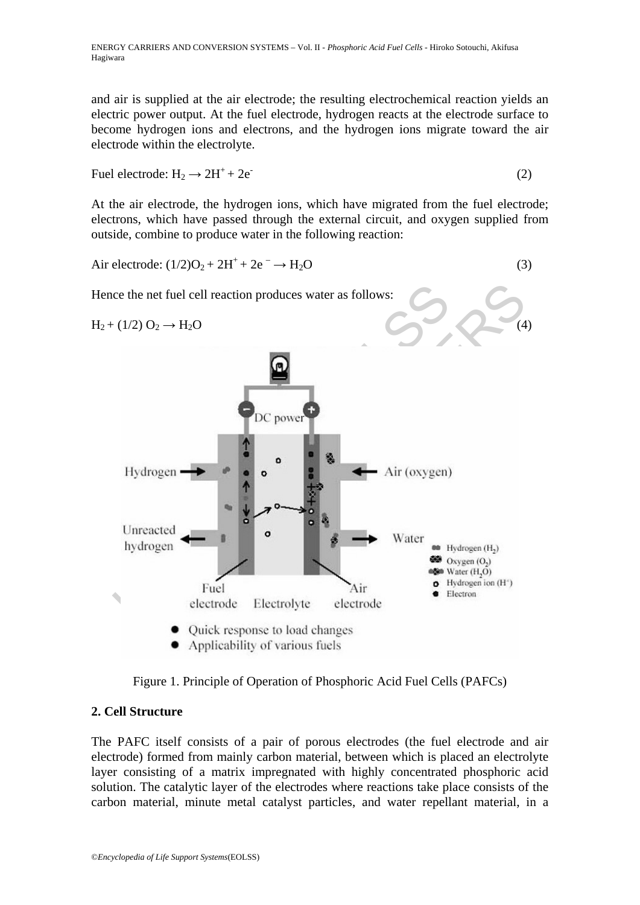and air is supplied at the air electrode; the resulting electrochemical reaction yields an electric power output. At the fuel electrode, hydrogen reacts at the electrode surface to become hydrogen ions and electrons, and the hydrogen ions migrate toward the air electrode within the electrolyte.

Fuel electrode:  $H_2 \rightarrow 2H^+ + 2e^-$  (2)

At the air electrode, the hydrogen ions, which have migrated from the fuel electrode; electrons, which have passed through the external circuit, and oxygen supplied from outside, combine to produce water in the following reaction:

$$
Air electrode: (1/2)O2 + 2H+ + 2e- \rightarrow H2O
$$
\n(3)

Hence the net fuel cell reaction produces water as follows:

 $H_2 + (1/2) O_2 \rightarrow H_2O$ 



Figure 1. Principle of Operation of Phosphoric Acid Fuel Cells (PAFCs)

## **2. Cell Structure**

The PAFC itself consists of a pair of porous electrodes (the fuel electrode and air electrode) formed from mainly carbon material, between which is placed an electrolyte layer consisting of a matrix impregnated with highly concentrated phosphoric acid solution. The catalytic layer of the electrodes where reactions take place consists of the carbon material, minute metal catalyst particles, and water repellant material, in a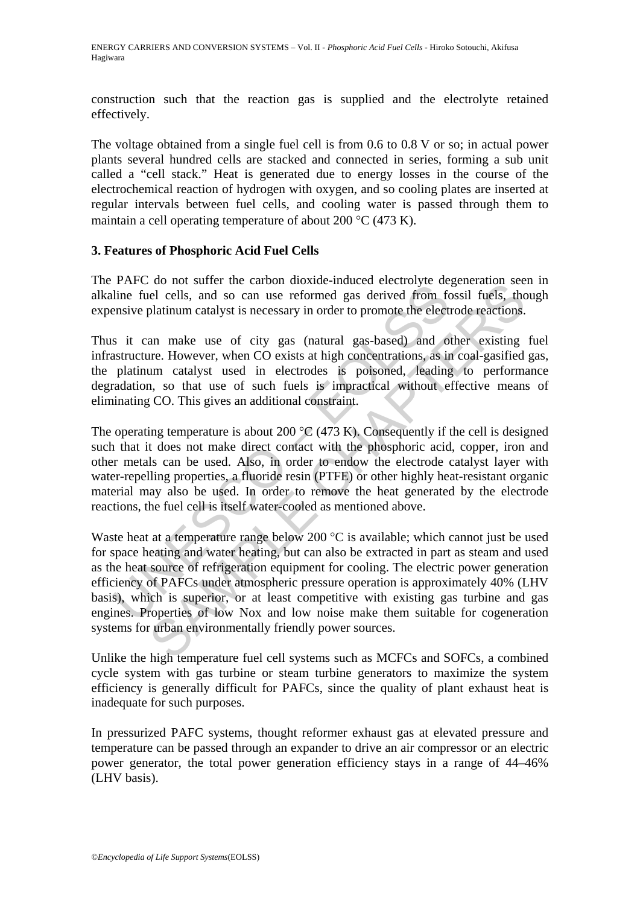construction such that the reaction gas is supplied and the electrolyte retained effectively.

The voltage obtained from a single fuel cell is from 0.6 to 0.8 V or so; in actual power plants several hundred cells are stacked and connected in series, forming a sub unit called a "cell stack." Heat is generated due to energy losses in the course of the electrochemical reaction of hydrogen with oxygen, and so cooling plates are inserted at regular intervals between fuel cells, and cooling water is passed through them to maintain a cell operating temperature of about 200 °C (473 K).

### **3. Features of Phosphoric Acid Fuel Cells**

The PAFC do not suffer the carbon dioxide-induced electrolyte degeneration seen in alkaline fuel cells, and so can use reformed gas derived from fossil fuels, though expensive platinum catalyst is necessary in order to promote the electrode reactions.

Thus it can make use of city gas (natural gas-based) and other existing fuel infrastructure. However, when CO exists at high concentrations, as in coal-gasified gas, the platinum catalyst used in electrodes is poisoned, leading to performance degradation, so that use of such fuels is impractical without effective means of eliminating CO. This gives an additional constraint.

The operating temperature is about 200  $\degree$ C (473 K). Consequently if the cell is designed such that it does not make direct contact with the phosphoric acid, copper, iron and other metals can be used. Also, in order to endow the electrode catalyst layer with water-repelling properties, a fluoride resin (PTFE) or other highly heat-resistant organic material may also be used. In order to remove the heat generated by the electrode reactions, the fuel cell is itself water-cooled as mentioned above.

Fire do not such the caloron docated material map the fulle field cells, and so can use reformed gas derived from fe<br>site platinum catalyst is necessary in order to promote the elect<br>s it can make use of city gas (natural For the canonic metallon and the content of the metallon seems and only state of the metallon set all et cells, and so can use reformed gas derived from fossil fuels, the platinum catalyst is necessary in order to promote Waste heat at a temperature range below 200 °C is available; which cannot just be used for space heating and water heating, but can also be extracted in part as steam and used as the heat source of refrigeration equipment for cooling. The electric power generation efficiency of PAFCs under atmospheric pressure operation is approximately 40% (LHV basis), which is superior, or at least competitive with existing gas turbine and gas engines. Properties of low Nox and low noise make them suitable for cogeneration systems for urban environmentally friendly power sources.

Unlike the high temperature fuel cell systems such as MCFCs and SOFCs, a combined cycle system with gas turbine or steam turbine generators to maximize the system efficiency is generally difficult for PAFCs, since the quality of plant exhaust heat is inadequate for such purposes.

In pressurized PAFC systems, thought reformer exhaust gas at elevated pressure and temperature can be passed through an expander to drive an air compressor or an electric power generator, the total power generation efficiency stays in a range of 44–46% (LHV basis).